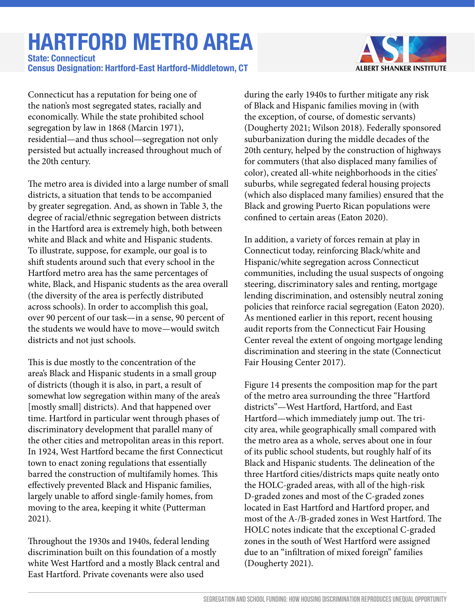## **HARTFORD METRO AREA**

**Census Designation: Hartford-East Hartford-Middletown, CT State: Connecticut**



Connecticut has a reputation for being one of the nation's most segregated states, racially and economically. While the state prohibited school segregation by law in 1868 (Marcin 1971), residential—and thus school—segregation not only persisted but actually increased throughout much of the 20th century.

The metro area is divided into a large number of small districts, a situation that tends to be accompanied by greater segregation. And, as shown in Table 3, the degree of racial/ethnic segregation between districts in the Hartford area is extremely high, both between white and Black and white and Hispanic students. To illustrate, suppose, for example, our goal is to shift students around such that every school in the Hartford metro area has the same percentages of white, Black, and Hispanic students as the area overall (the diversity of the area is perfectly distributed across schools). In order to accomplish this goal, over 90 percent of our task—in a sense, 90 percent of the students we would have to move—would switch districts and not just schools.

This is due mostly to the concentration of the area's Black and Hispanic students in a small group of districts (though it is also, in part, a result of somewhat low segregation within many of the area's [mostly small] districts). And that happened over time. Hartford in particular went through phases of discriminatory development that parallel many of the other cities and metropolitan areas in this report. In 1924, West Hartford became the first Connecticut town to enact zoning regulations that essentially barred the construction of multifamily homes. This effectively prevented Black and Hispanic families, largely unable to afford single-family homes, from moving to the area, keeping it white (Putterman 2021).

Throughout the 1930s and 1940s, federal lending discrimination built on this foundation of a mostly white West Hartford and a mostly Black central and East Hartford. Private covenants were also used

during the early 1940s to further mitigate any risk of Black and Hispanic families moving in (with the exception, of course, of domestic servants) (Dougherty 2021; Wilson 2018). Federally sponsored suburbanization during the middle decades of the 20th century, helped by the construction of highways for commuters (that also displaced many families of color), created all-white neighborhoods in the cities' suburbs, while segregated federal housing projects (which also displaced many families) ensured that the Black and growing Puerto Rican populations were confined to certain areas (Eaton 2020).

In addition, a variety of forces remain at play in Connecticut today, reinforcing Black/white and Hispanic/white segregation across Connecticut communities, including the usual suspects of ongoing steering, discriminatory sales and renting, mortgage lending discrimination, and ostensibly neutral zoning policies that reinforce racial segregation (Eaton 2020). As mentioned earlier in this report, recent housing audit reports from the Connecticut Fair Housing Center reveal the extent of ongoing mortgage lending discrimination and steering in the state (Connecticut Fair Housing Center 2017).

Figure 14 presents the composition map for the part of the metro area surrounding the three "Hartford districts"—West Hartford, Hartford, and East Hartford—which immediately jump out. The tricity area, while geographically small compared with the metro area as a whole, serves about one in four of its public school students, but roughly half of its Black and Hispanic students. The delineation of the three Hartford cities/districts maps quite neatly onto the HOLC-graded areas, with all of the high-risk D-graded zones and most of the C-graded zones located in East Hartford and Hartford proper, and most of the A-/B-graded zones in West Hartford. The HOLC notes indicate that the exceptional C-graded zones in the south of West Hartford were assigned due to an "infiltration of mixed foreign" families (Dougherty 2021).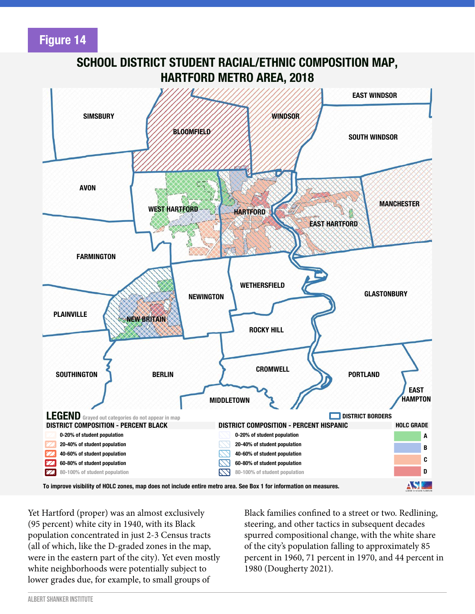**Figure 14**



**SCHOOL DISTRICT STUDENT RACIAL/ETHNIC COMPOSITION MAP,**

Yet Hartford (proper) was an almost exclusively (95 percent) white city in 1940, with its Black population concentrated in just 2-3 Census tracts (all of which, like the D-graded zones in the map, were in the eastern part of the city). Yet even mostly white neighborhoods were potentially subject to lower grades due, for example, to small groups of

Black families confined to a street or two. Redlining, steering, and other tactics in subsequent decades spurred compositional change, with the white share of the city's population falling to approximately 85 percent in 1960, 71 percent in 1970, and 44 percent in 1980 (Dougherty 2021).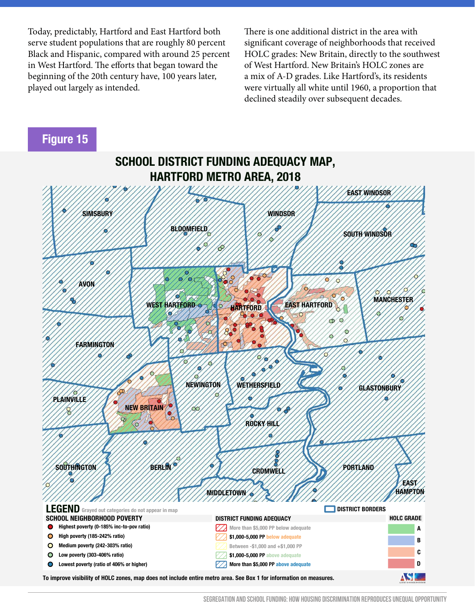Today, predictably, Hartford and East Hartford both serve student populations that are roughly 80 percent Black and Hispanic, compared with around 25 percent in West Hartford. The efforts that began toward the beginning of the 20th century have, 100 years later, played out largely as intended.

There is one additional district in the area with significant coverage of neighborhoods that received HOLC grades: New Britain, directly to the southwest of West Hartford. New Britain's HOLC zones are a mix of A-D grades. Like Hartford's, its residents were virtually all white until 1960, a proportion that declined steadily over subsequent decades.

## **Figure 15**



**SEGREGATION AND SCHOOL FUNDING: HOW HOUSING DISCRIMINATION REPRODUCES UNEQUAL OPPORTUNITY**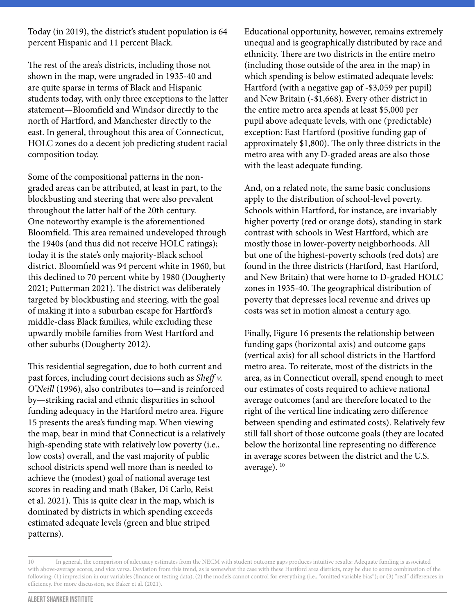Today (in 2019), the district's student population is 64 percent Hispanic and 11 percent Black.

The rest of the area's districts, including those not shown in the map, were ungraded in 1935-40 and are quite sparse in terms of Black and Hispanic students today, with only three exceptions to the latter statement—Bloomfield and Windsor directly to the north of Hartford, and Manchester directly to the east. In general, throughout this area of Connecticut, HOLC zones do a decent job predicting student racial composition today.

Some of the compositional patterns in the nongraded areas can be attributed, at least in part, to the blockbusting and steering that were also prevalent throughout the latter half of the 20th century. One noteworthy example is the aforementioned Bloomfield. This area remained undeveloped through the 1940s (and thus did not receive HOLC ratings); today it is the state's only majority-Black school district. Bloomfield was 94 percent white in 1960, but this declined to 70 percent white by 1980 (Dougherty 2021; Putterman 2021). The district was deliberately targeted by blockbusting and steering, with the goal of making it into a suburban escape for Hartford's middle-class Black families, while excluding these upwardly mobile families from West Hartford and other suburbs (Dougherty 2012).

This residential segregation, due to both current and past forces, including court decisions such as *Sheff v. O'Neill* (1996), also contributes to—and is reinforced by—striking racial and ethnic disparities in school funding adequacy in the Hartford metro area. Figure 15 presents the area's funding map. When viewing the map, bear in mind that Connecticut is a relatively high-spending state with relatively low poverty (i.e., low costs) overall, and the vast majority of public school districts spend well more than is needed to achieve the (modest) goal of national average test scores in reading and math (Baker, Di Carlo, Reist et al. 2021). This is quite clear in the map, which is dominated by districts in which spending exceeds estimated adequate levels (green and blue striped patterns).

Educational opportunity, however, remains extremely unequal and is geographically distributed by race and ethnicity. There are two districts in the entire metro (including those outside of the area in the map) in which spending is below estimated adequate levels: Hartford (with a negative gap of -\$3,059 per pupil) and New Britain (-\$1,668). Every other district in the entire metro area spends at least \$5,000 per pupil above adequate levels, with one (predictable) exception: East Hartford (positive funding gap of approximately \$1,800). The only three districts in the metro area with any D-graded areas are also those with the least adequate funding.

And, on a related note, the same basic conclusions apply to the distribution of school-level poverty. Schools within Hartford, for instance, are invariably higher poverty (red or orange dots), standing in stark contrast with schools in West Hartford, which are mostly those in lower-poverty neighborhoods. All but one of the highest-poverty schools (red dots) are found in the three districts (Hartford, East Hartford, and New Britain) that were home to D-graded HOLC zones in 1935-40. The geographical distribution of poverty that depresses local revenue and drives up costs was set in motion almost a century ago.

Finally, Figure 16 presents the relationship between funding gaps (horizontal axis) and outcome gaps (vertical axis) for all school districts in the Hartford metro area. To reiterate, most of the districts in the area, as in Connecticut overall, spend enough to meet our estimates of costs required to achieve national average outcomes (and are therefore located to the right of the vertical line indicating zero difference between spending and estimated costs). Relatively few still fall short of those outcome goals (they are located below the horizontal line representing no difference in average scores between the district and the U.S. average).<sup>10</sup>

<sup>10</sup> In general, the comparison of adequacy estimates from the NECM with student outcome gaps produces intuitive results: Adequate funding is associated with above-average scores, and vice versa. Deviation from this trend, as is somewhat the case with these Hartford area districts, may be due to some combination of the following: (1) imprecision in our variables (finance or testing data); (2) the models cannot control for everything (i.e., "omitted variable bias"); or (3) "real" differences in efficiency. For more discussion, see Baker et al. (2021).